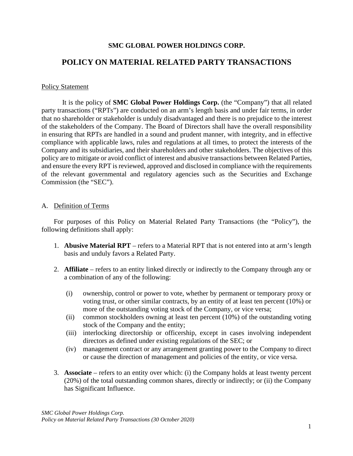### **SMC GLOBAL POWER HOLDINGS CORP.**

# **POLICY ON MATERIAL RELATED PARTY TRANSACTIONS**

#### Policy Statement

It is the policy of **SMC Global Power Holdings Corp.** (the "Company") that all related party transactions ("RPTs") are conducted on an arm's length basis and under fair terms, in order that no shareholder or stakeholder is unduly disadvantaged and there is no prejudice to the interest of the stakeholders of the Company. The Board of Directors shall have the overall responsibility in ensuring that RPTs are handled in a sound and prudent manner, with integrity, and in effective compliance with applicable laws, rules and regulations at all times, to protect the interests of the Company and its subsidiaries, and their shareholders and other stakeholders. The objectives of this policy are to mitigate or avoid conflict of interest and abusive transactions between Related Parties, and ensure the every RPT is reviewed, approved and disclosed in compliance with the requirements of the relevant governmental and regulatory agencies such as the Securities and Exchange Commission (the "SEC").

### A. Definition of Terms

For purposes of this Policy on Material Related Party Transactions (the "Policy"), the following definitions shall apply:

- 1. **Abusive Material RPT** refers to a Material RPT that is not entered into at arm's length basis and unduly favors a Related Party.
- 2. **Affiliate** refers to an entity linked directly or indirectly to the Company through any or a combination of any of the following:
	- (i) ownership, control or power to vote, whether by permanent or temporary proxy or voting trust, or other similar contracts, by an entity of at least ten percent (10%) or more of the outstanding voting stock of the Company, or vice versa;
	- (ii) common stockholders owning at least ten percent (10%) of the outstanding voting stock of the Company and the entity;
	- (iii) interlocking directorship or officership, except in cases involving independent directors as defined under existing regulations of the SEC; or
	- (iv) management contract or any arrangement granting power to the Company to direct or cause the direction of management and policies of the entity, or vice versa.
- 3. **Associate** refers to an entity over which: (i) the Company holds at least twenty percent (20%) of the total outstanding common shares, directly or indirectly; or (ii) the Company has Significant Influence.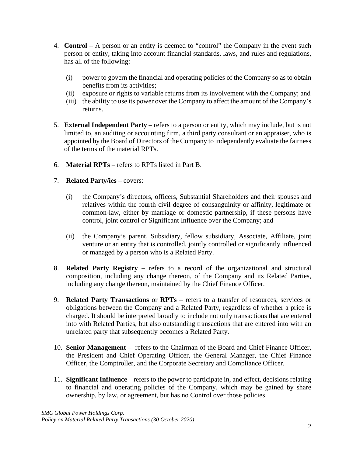- 4. **Control** A person or an entity is deemed to "control" the Company in the event such person or entity, taking into account financial standards, laws, and rules and regulations, has all of the following:
	- (i) power to govern the financial and operating policies of the Company so as to obtain benefits from its activities;
	- (ii) exposure or rights to variable returns from its involvement with the Company; and
	- (iii) the ability to use its power over the Company to affect the amount of the Company's returns.
- 5. **External Independent Party** refers to a person or entity, which may include, but is not limited to, an auditing or accounting firm, a third party consultant or an appraiser, who is appointed by the Board of Directors of the Company to independently evaluate the fairness of the terms of the material RPTs.
- 6. **Material RPTs**  refers to RPTs listed in Part B.
- 7. **Related Party/ies** covers:
	- (i) the Company's directors, officers, Substantial Shareholders and their spouses and relatives within the fourth civil degree of consanguinity or affinity, legitimate or common-law, either by marriage or domestic partnership, if these persons have control, joint control or Significant Influence over the Company; and
	- (ii) the Company's parent, Subsidiary, fellow subsidiary, Associate, Affiliate, joint venture or an entity that is controlled, jointly controlled or significantly influenced or managed by a person who is a Related Party.
- 8. **Related Party Registry** refers to a record of the organizational and structural composition, including any change thereon, of the Company and its Related Parties, including any change thereon, maintained by the Chief Finance Officer.
- 9. **Related Party Transactions** or **RPTs** refers to a transfer of resources, services or obligations between the Company and a Related Party, regardless of whether a price is charged. It should be interpreted broadly to include not only transactions that are entered into with Related Parties, but also outstanding transactions that are entered into with an unrelated party that subsequently becomes a Related Party.
- 10. **Senior Management** refers to the Chairman of the Board and Chief Finance Officer, the President and Chief Operating Officer, the General Manager, the Chief Finance Officer, the Comptroller, and the Corporate Secretary and Compliance Officer.
- 11. **Significant Influence** refers to the power to participate in, and effect, decisions relating to financial and operating policies of the Company, which may be gained by share ownership, by law, or agreement, but has no Control over those policies.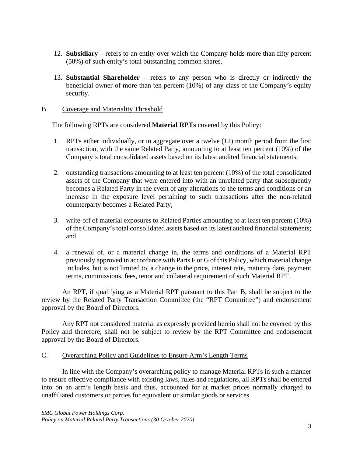- 12. **Subsidiary** refers to an entity over which the Company holds more than fifty percent (50%) of such entity's total outstanding common shares.
- 13. **Substantial Shareholder** refers to any person who is directly or indirectly the beneficial owner of more than ten percent (10%) of any class of the Company's equity security.

### B. Coverage and Materiality Threshold

The following RPTs are considered **Material RPTs** covered by this Policy:

- 1. RPTs either individually, or in aggregate over a twelve (12) month period from the first transaction, with the same Related Party, amounting to at least ten percent (10%) of the Company's total consolidated assets based on its latest audited financial statements;
- 2. outstanding transactions amounting to at least ten percent (10%) of the total consolidated assets of the Company that were entered into with an unrelated party that subsequently becomes a Related Party in the event of any alterations to the terms and conditions or an increase in the exposure level pertaining to such transactions after the non-related counterparty becomes a Related Party;
- 3. write-off of material exposures to Related Parties amounting to at least ten percent (10%) of the Company's total consolidated assets based on its latest audited financial statements; and
- 4. a renewal of, or a material change in, the terms and conditions of a Material RPT previously approved in accordance with Parts F or G of this Policy, which material change includes, but is not limited to, a change in the price, interest rate, maturity date, payment terms, commissions, fees, tenor and collateral requirement of such Material RPT.

An RPT, if qualifying as a Material RPT pursuant to this Part B, shall be subject to the review by the Related Party Transaction Committee (the "RPT Committee") and endorsement approval by the Board of Directors.

Any RPT not considered material as expressly provided herein shall not be covered by this Policy and therefore, shall not be subject to review by the RPT Committee and endorsement approval by the Board of Directors.

### C. Overarching Policy and Guidelines to Ensure Arm's Length Terms

In line with the Company's overarching policy to manage Material RPTs in such a manner to ensure effective compliance with existing laws, rules and regulations, all RPTs shall be entered into on an arm's length basis and thus, accounted for at market prices normally charged to unaffiliated customers or parties for equivalent or similar goods or services.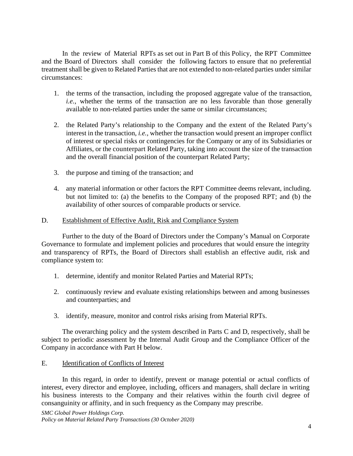In the review of Material RPTs as set out in Part B of this Policy, the RPT Committee and the Board of Directors shall consider the following factors to ensure that no preferential treatment shall be given to Related Parties that are not extended to non-related parties under similar circumstances:

- 1. the terms of the transaction, including the proposed aggregate value of the transaction, *i.e.*, whether the terms of the transaction are no less favorable than those generally available to non-related parties under the same or similar circumstances;
- 2. the Related Party's relationship to the Company and the extent of the Related Party's interest in the transaction, *i.e.,* whether the transaction would present an improper conflict of interest or special risks or contingencies for the Company or any of its Subsidiaries or Affiliates, or the counterpart Related Party, taking into account the size of the transaction and the overall financial position of the counterpart Related Party;
- 3. the purpose and timing of the transaction; and
- 4. any material information or other factors the RPT Committee deems relevant, including. but not limited to: (a) the benefits to the Company of the proposed RPT; and (b) the availability of other sources of comparable products or service.

### D. Establishment of Effective Audit, Risk and Compliance System

Further to the duty of the Board of Directors under the Company's Manual on Corporate Governance to formulate and implement policies and procedures that would ensure the integrity and transparency of RPTs, the Board of Directors shall establish an effective audit, risk and compliance system to:

- 1. determine, identify and monitor Related Parties and Material RPTs;
- 2. continuously review and evaluate existing relationships between and among businesses and counterparties; and
- 3. identify, measure, monitor and control risks arising from Material RPTs.

The overarching policy and the system described in Parts C and D, respectively, shall be subject to periodic assessment by the Internal Audit Group and the Compliance Officer of the Company in accordance with Part H below.

## E. Identification of Conflicts of Interest

In this regard, in order to identify, prevent or manage potential or actual conflicts of interest, every director and employee, including, officers and managers, shall declare in writing his business interests to the Company and their relatives within the fourth civil degree of consanguinity or affinity, and in such frequency as the Company may prescribe.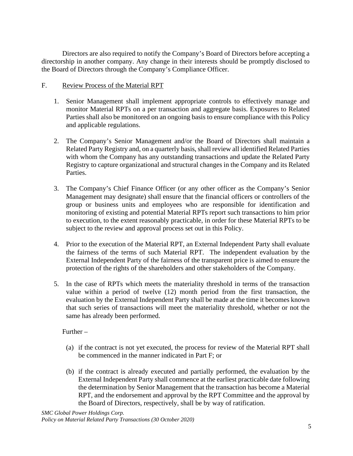Directors are also required to notify the Company's Board of Directors before accepting a directorship in another company. Any change in their interests should be promptly disclosed to the Board of Directors through the Company's Compliance Officer.

### F. Review Process of the Material RPT

- 1. Senior Management shall implement appropriate controls to effectively manage and monitor Material RPTs on a per transaction and aggregate basis. Exposures to Related Parties shall also be monitored on an ongoing basis to ensure compliance with this Policy and applicable regulations.
- 2. The Company's Senior Management and/or the Board of Directors shall maintain a Related Party Registry and, on a quarterly basis, shall review all identified Related Parties with whom the Company has any outstanding transactions and update the Related Party Registry to capture organizational and structural changes in the Company and its Related Parties.
- 3. The Company's Chief Finance Officer (or any other officer as the Company's Senior Management may designate) shall ensure that the financial officers or controllers of the group or business units and employees who are responsible for identification and monitoring of existing and potential Material RPTs report such transactions to him prior to execution, to the extent reasonably practicable, in order for these Material RPTs to be subject to the review and approval process set out in this Policy.
- 4. Prior to the execution of the Material RPT, an External Independent Party shall evaluate the fairness of the terms of such Material RPT. The independent evaluation by the External Independent Party of the fairness of the transparent price is aimed to ensure the protection of the rights of the shareholders and other stakeholders of the Company.
- 5. In the case of RPTs which meets the materiality threshold in terms of the transaction value within a period of twelve (12) month period from the first transaction, the evaluation by the External Independent Party shall be made at the time it becomes known that such series of transactions will meet the materiality threshold, whether or not the same has already been performed.

### Further –

- (a) if the contract is not yet executed, the process for review of the Material RPT shall be commenced in the manner indicated in Part F; or
- (b) if the contract is already executed and partially performed, the evaluation by the External Independent Party shall commence at the earliest practicable date following the determination by Senior Management that the transaction has become a Material RPT, and the endorsement and approval by the RPT Committee and the approval by the Board of Directors, respectively, shall be by way of ratification.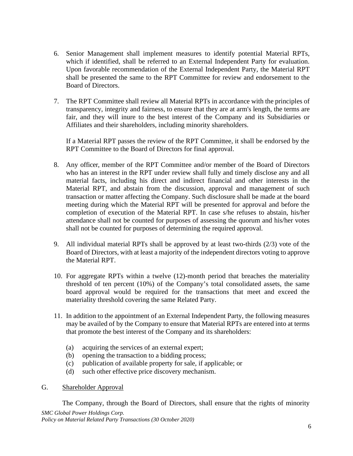- 6. Senior Management shall implement measures to identify potential Material RPTs, which if identified, shall be referred to an External Independent Party for evaluation. Upon favorable recommendation of the External Independent Party, the Material RPT shall be presented the same to the RPT Committee for review and endorsement to the Board of Directors.
- 7. The RPT Committee shall review all Material RPTs in accordance with the principles of transparency, integrity and fairness, to ensure that they are at arm's length, the terms are fair, and they will inure to the best interest of the Company and its Subsidiaries or Affiliates and their shareholders, including minority shareholders.

If a Material RPT passes the review of the RPT Committee, it shall be endorsed by the RPT Committee to the Board of Directors for final approval.

- 8. Any officer, member of the RPT Committee and/or member of the Board of Directors who has an interest in the RPT under review shall fully and timely disclose any and all material facts, including his direct and indirect financial and other interests in the Material RPT, and abstain from the discussion, approval and management of such transaction or matter affecting the Company. Such disclosure shall be made at the board meeting during which the Material RPT will be presented for approval and before the completion of execution of the Material RPT. In case s/he refuses to abstain, his/her attendance shall not be counted for purposes of assessing the quorum and his/her votes shall not be counted for purposes of determining the required approval.
- 9. All individual material RPTs shall be approved by at least two-thirds (2/3) vote of the Board of Directors, with at least a majority of the independent directors voting to approve the Material RPT.
- 10. For aggregate RPTs within a twelve (12)-month period that breaches the materiality threshold of ten percent (10%) of the Company's total consolidated assets, the same board approval would be required for the transactions that meet and exceed the materiality threshold covering the same Related Party.
- 11. In addition to the appointment of an External Independent Party, the following measures may be availed of by the Company to ensure that Material RPTs are entered into at terms that promote the best interest of the Company and its shareholders:
	- (a) acquiring the services of an external expert;
	- (b) opening the transaction to a bidding process;
	- (c) publication of available property for sale, if applicable; or
	- (d) such other effective price discovery mechanism.
- G. Shareholder Approval

*SMC Global Power Holdings Corp. Policy on Material Related Party Transactions (30 October 2020)* The Company, through the Board of Directors, shall ensure that the rights of minority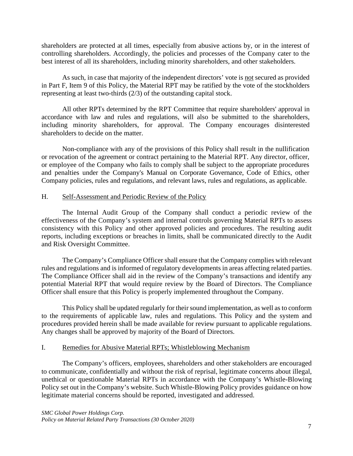shareholders are protected at all times, especially from abusive actions by, or in the interest of controlling shareholders. Accordingly, the policies and processes of the Company cater to the best interest of all its shareholders, including minority shareholders, and other stakeholders.

As such, in case that majority of the independent directors' vote is not secured as provided in Part F, Item 9 of this Policy, the Material RPT may be ratified by the vote of the stockholders representing at least two-thirds (2/3) of the outstanding capital stock.

All other RPTs determined by the RPT Committee that require shareholders' approval in accordance with law and rules and regulations, will also be submitted to the shareholders, including minority shareholders, for approval. The Company encourages disinterested shareholders to decide on the matter.

Non-compliance with any of the provisions of this Policy shall result in the nullification or revocation of the agreement or contract pertaining to the Material RPT. Any director, officer, or employee of the Company who fails to comply shall be subject to the appropriate procedures and penalties under the Company's Manual on Corporate Governance, Code of Ethics, other Company policies, rules and regulations, and relevant laws, rules and regulations, as applicable.

### H. Self-Assessment and Periodic Review of the Policy

The Internal Audit Group of the Company shall conduct a periodic review of the effectiveness of the Company's system and internal controls governing Material RPTs to assess consistency with this Policy and other approved policies and procedures. The resulting audit reports, including exceptions or breaches in limits, shall be communicated directly to the Audit and Risk Oversight Committee.

The Company's Compliance Officer shall ensure that the Company complies with relevant rules and regulations and is informed of regulatory developments in areas affecting related parties. The Compliance Officer shall aid in the review of the Company's transactions and identify any potential Material RPT that would require review by the Board of Directors. The Compliance Officer shall ensure that this Policy is properly implemented throughout the Company.

This Policy shall be updated regularly for their sound implementation, as well as to conform to the requirements of applicable law, rules and regulations. This Policy and the system and procedures provided herein shall be made available for review pursuant to applicable regulations. Any changes shall be approved by majority of the Board of Directors.

### I. Remedies for Abusive Material RPTs; Whistleblowing Mechanism

The Company's officers, employees, shareholders and other stakeholders are encouraged to communicate, confidentially and without the risk of reprisal, legitimate concerns about illegal, unethical or questionable Material RPTs in accordance with the Company's Whistle-Blowing Policy set out in the Company's website. Such Whistle-Blowing Policy provides guidance on how legitimate material concerns should be reported, investigated and addressed.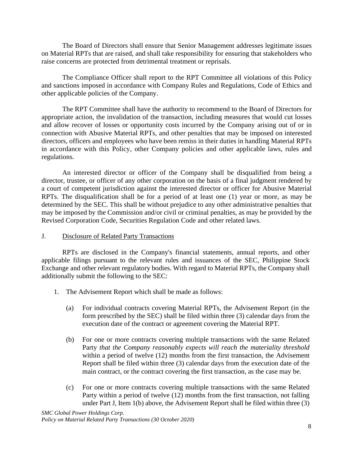The Board of Directors shall ensure that Senior Management addresses legitimate issues on Material RPTs that are raised, and shall take responsibility for ensuring that stakeholders who raise concerns are protected from detrimental treatment or reprisals.

The Compliance Officer shall report to the RPT Committee all violations of this Policy and sanctions imposed in accordance with Company Rules and Regulations, Code of Ethics and other applicable policies of the Company.

The RPT Committee shall have the authority to recommend to the Board of Directors for appropriate action, the invalidation of the transaction, including measures that would cut losses and allow recover of losses or opportunity costs incurred by the Company arising out of or in connection with Abusive Material RPTs, and other penalties that may be imposed on interested directors, officers and employees who have been remiss in their duties in handling Material RPTs in accordance with this Policy, other Company policies and other applicable laws, rules and regulations.

An interested director or officer of the Company shall be disqualified from being a director, trustee, or officer of any other corporation on the basis of a final judgment rendered by a court of competent jurisdiction against the interested director or officer for Abusive Material RPTs. The disqualification shall be for a period of at least one (1) year or more, as may be determined by the SEC. This shall be without prejudice to any other administrative penalties that may be imposed by the Commission and/or civil or criminal penalties, as may be provided by the Revised Corporation Code, Securities Regulation Code and other related laws.

## J. Disclosure of Related Party Transactions

RPTs are disclosed in the Company's financial statements, annual reports, and other applicable filings pursuant to the relevant rules and issuances of the SEC, Philippine Stock Exchange and other relevant regulatory bodies. With regard to Material RPTs, the Company shall additionally submit the following to the SEC:

- 1. The Advisement Report which shall be made as follows:
	- (a) For individual contracts covering Material RPTs, the Advisement Report (in the form prescribed by the SEC) shall be filed within three (3) calendar days from the execution date of the contract or agreement covering the Material RPT.
	- (b) For one or more contracts covering multiple transactions with the same Related Party *that the Company reasonably expects will reach the materiality threshold* within a period of twelve (12) months from the first transaction, the Advisement Report shall be filed within three (3) calendar days from the execution date of the main contract, or the contract covering the first transaction, as the case may be.
	- (c) For one or more contracts covering multiple transactions with the same Related Party within a period of twelve (12) months from the first transaction, not falling under Part J, Item 1(b) above, the Advisement Report shall be filed within three (3)